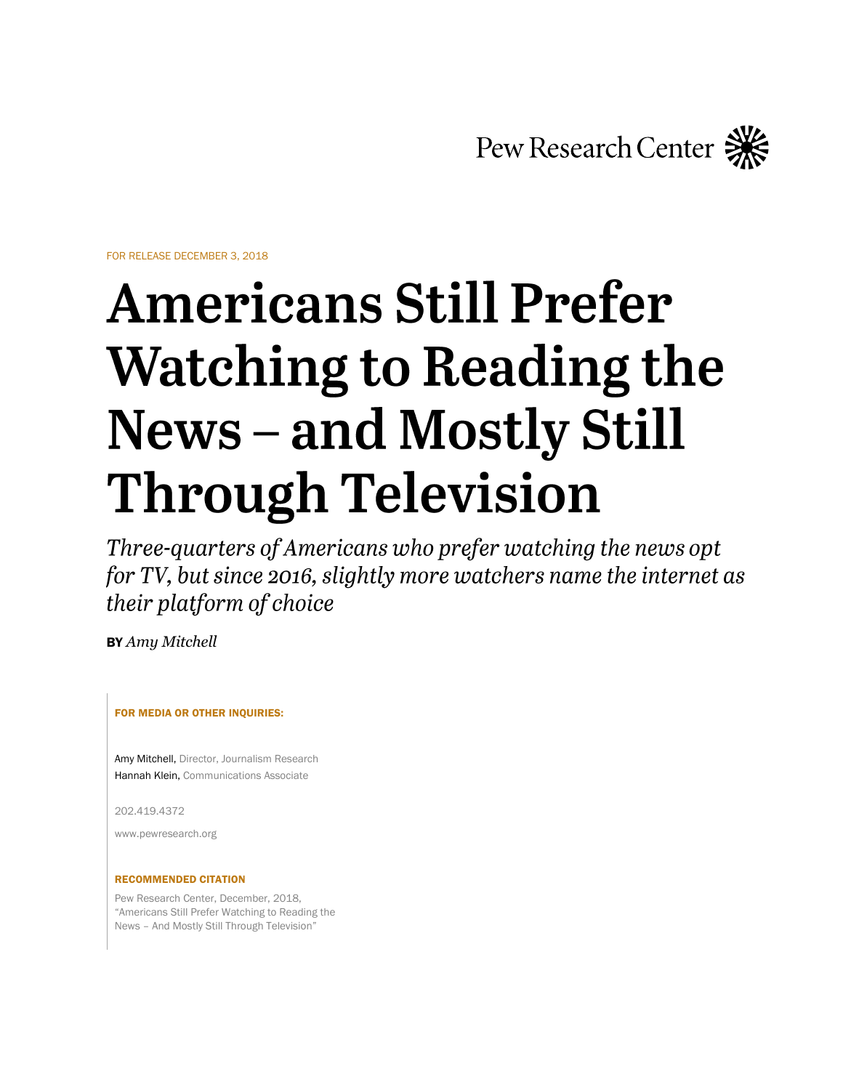Pew Research Center

FOR RELEASE DECEMBER 3, 2018

# **Americans Still Prefer Watching to Reading the News – and Mostly Still Through Television**

Three-quarters of Americans who prefer watching the news opt for TV, but since 2016, slightly more watchers name the internet as their platform of choice

BY *Amy Mitchell*

FOR MEDIA OR OTHER INQUIRIES:

Amy Mitchell, Director, Journalism Research Hannah Klein, Communications Associate

202.419.4372

www.pewresearch.org

## RECOMMENDED CITATION

Pew Research Center, December, 2018, "Americans Still Prefer Watching to Reading the News – And Mostly Still Through Television"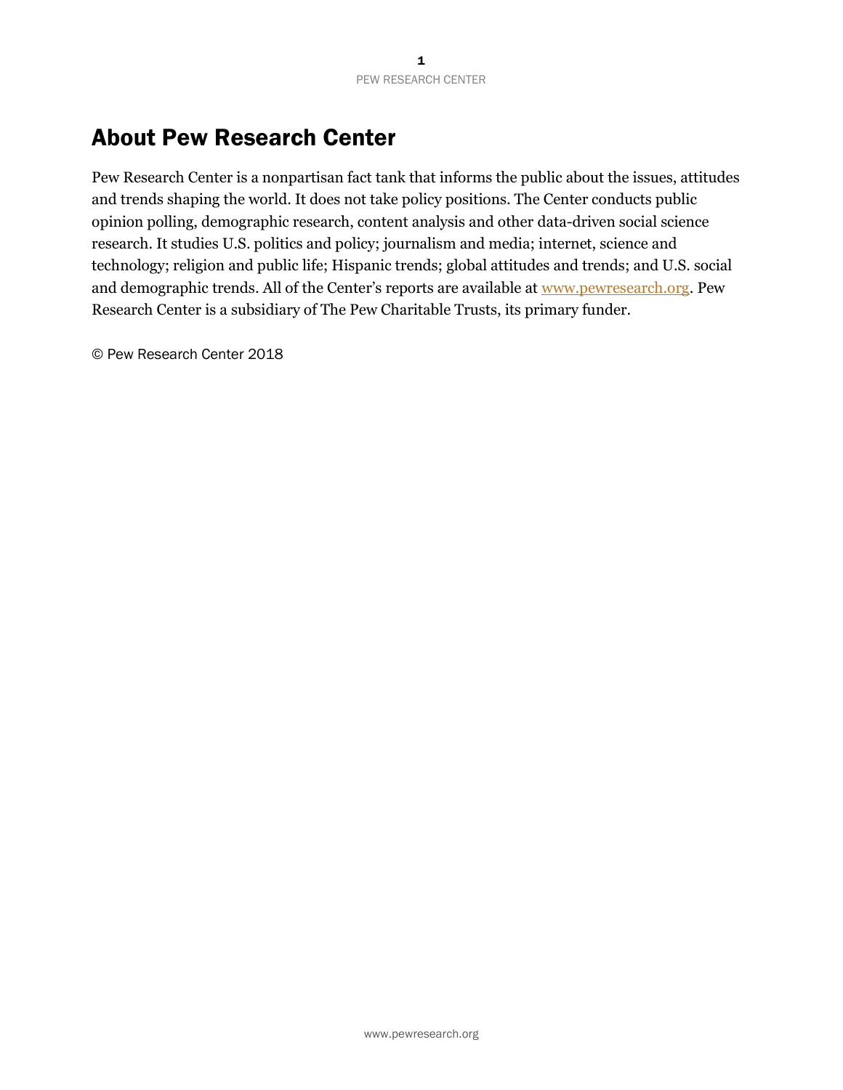# About Pew Research Center

Pew Research Center is a nonpartisan fact tank that informs the public about the issues, attitudes and trends shaping the world. It does not take policy positions. The Center conducts public opinion polling, demographic research, content analysis and other data-driven social science research. It studies U.S. politics and policy; journalism and media; internet, science and technology; religion and public life; Hispanic trends; global attitudes and trends; and U.S. social and demographic trends. All of the Center's reports are available at [www.pewresearch.org.](file://///nas-prc.pew.pewtrusts.org/shared/PEJ/2018%20Reading%20Watching%20report/Drafts-prefer%20reading/www.pewresearch.org) Pew Research Center is a subsidiary of The Pew Charitable Trusts, its primary funder.

© Pew Research Center 2018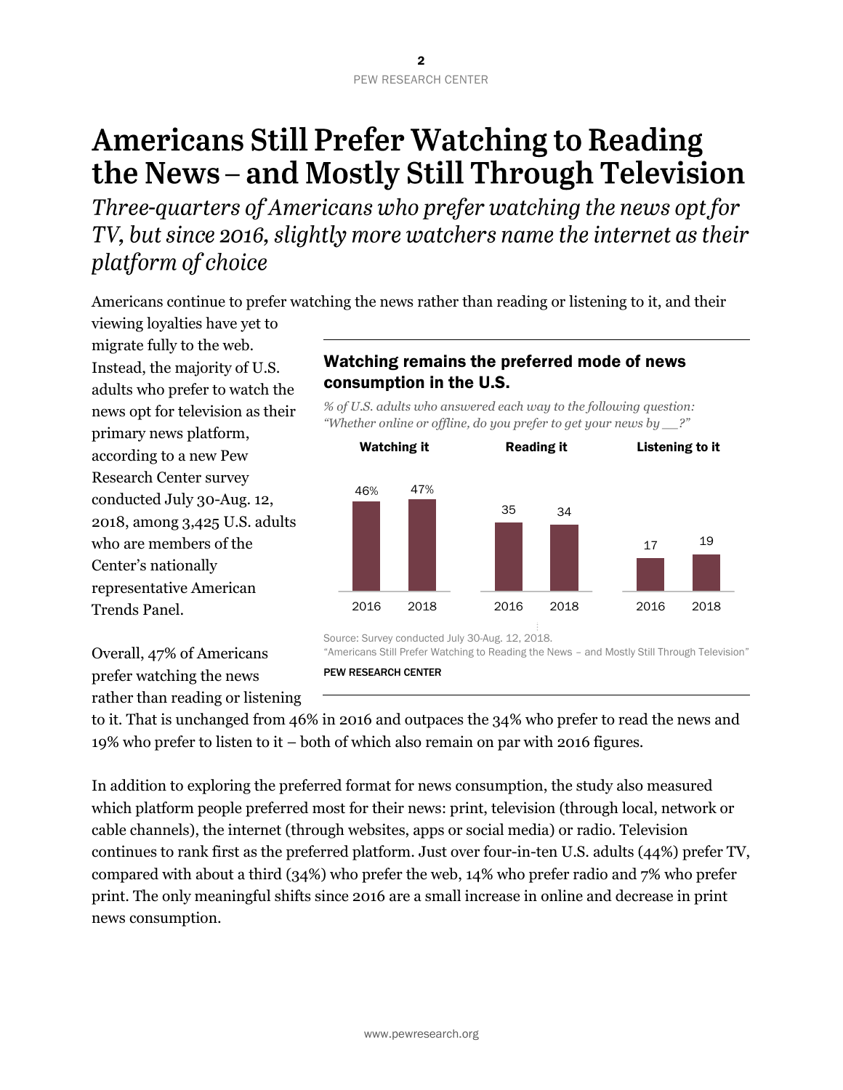# **Americans Still Prefer Watching to Reading** the News - and Mostly Still Through Television

Three-quarters of Americans who prefer watching the news opt for TV, but since 2016, slightly more watchers name the internet as their platform of choice

Americans continue to prefer watching the news rather than reading or listening to it, and their

viewing loyalties have yet to migrate fully to the web. Instead, the majority of U.S. adults who prefer to watch the news opt for television as their primary news platform, according to a new Pew Research Center survey conducted July 30-Aug. 12, 2018, among 3,425 U.S. adults who are members of the Center's nationally representative American Trends Panel.

Overall, 47% of Americans prefer watching the news rather than reading or listening

# Watching remains the preferred mode of news consumption in the U.S.

*% of U.S. adults who answered each way to the following question: "Whether online or offline, do you prefer to get your news by \_\_?"*



"Americans Still Prefer Watching to Reading the News – and Mostly Still Through Television"

to it. That is unchanged from 46% in 2016 and outpaces the 34% who prefer to read the news and 19% who prefer to listen to it – both of which also remain on par with 2016 figures.

In addition to exploring the preferred format for news consumption, the study also measured which platform people preferred most for their news: print, television (through local, network or cable channels), the internet (through websites, apps or social media) or radio. Television continues to rank first as the preferred platform. Just over four-in-ten U.S. adults (44%) prefer TV, compared with about a third (34%) who prefer the web, 14% who prefer radio and 7% who prefer print. The only meaningful shifts since 2016 are a small increase in online and decrease in print news consumption.

PEW RESEARCH CENTER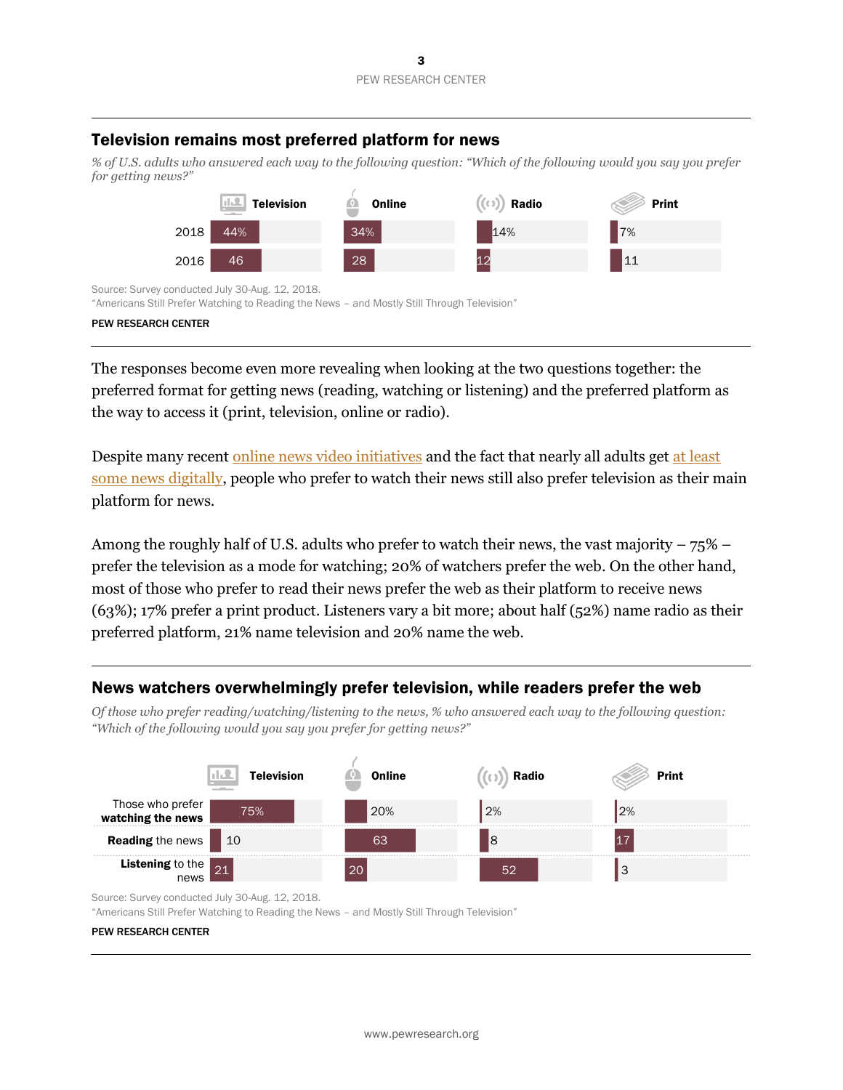# Television remains most preferred platform for news

*% of U.S. adults who answered each way to the following question: "Which of the following would you say you prefer for getting news?"*



Source: Survey conducted July 30-Aug. 12, 2018.

"Americans Still Prefer Watching to Reading the News – and Mostly Still Through Television"

#### PEW RESEARCH CENTER

The responses become even more revealing when looking at the two questions together: the preferred format for getting news (reading, watching or listening) and the preferred platform as the way to access it (print, television, online or radio).

Despite many recent [online news video initiatives](https://techcrunch.com/2018/10/24/nbc-to-launch-a-new-streaming-network-nbc-news-signal/) and the fact that nearly all adults ge[t at least](http://www.pewresearch.org/fact-tank/2018/07/17/use-of-mobile-devices-for-news-continues-to-grow-outpacing-desktops-and-laptops/)  [some news digitally,](http://www.pewresearch.org/fact-tank/2018/07/17/use-of-mobile-devices-for-news-continues-to-grow-outpacing-desktops-and-laptops/) people who prefer to watch their news still also prefer television as their main platform for news.

Among the roughly half of U.S. adults who prefer to watch their news, the vast majority  $-75\%$  – prefer the television as a mode for watching; 20% of watchers prefer the web. On the other hand, most of those who prefer to read their news prefer the web as their platform to receive news (63%); 17% prefer a print product. Listeners vary a bit more; about half (52%) name radio as their preferred platform, 21% name television and 20% name the web.

## News watchers overwhelmingly prefer television, while readers prefer the web

*Of those who prefer reading/watching/listening to the news, % who answered each way to the following question: "Which of the following would you say you prefer for getting news?"*



Source: Survey conducted July 30-Aug. 12, 2018.

"Americans Still Prefer Watching to Reading the News – and Mostly Still Through Television"

#### PEW RESEARCH CENTER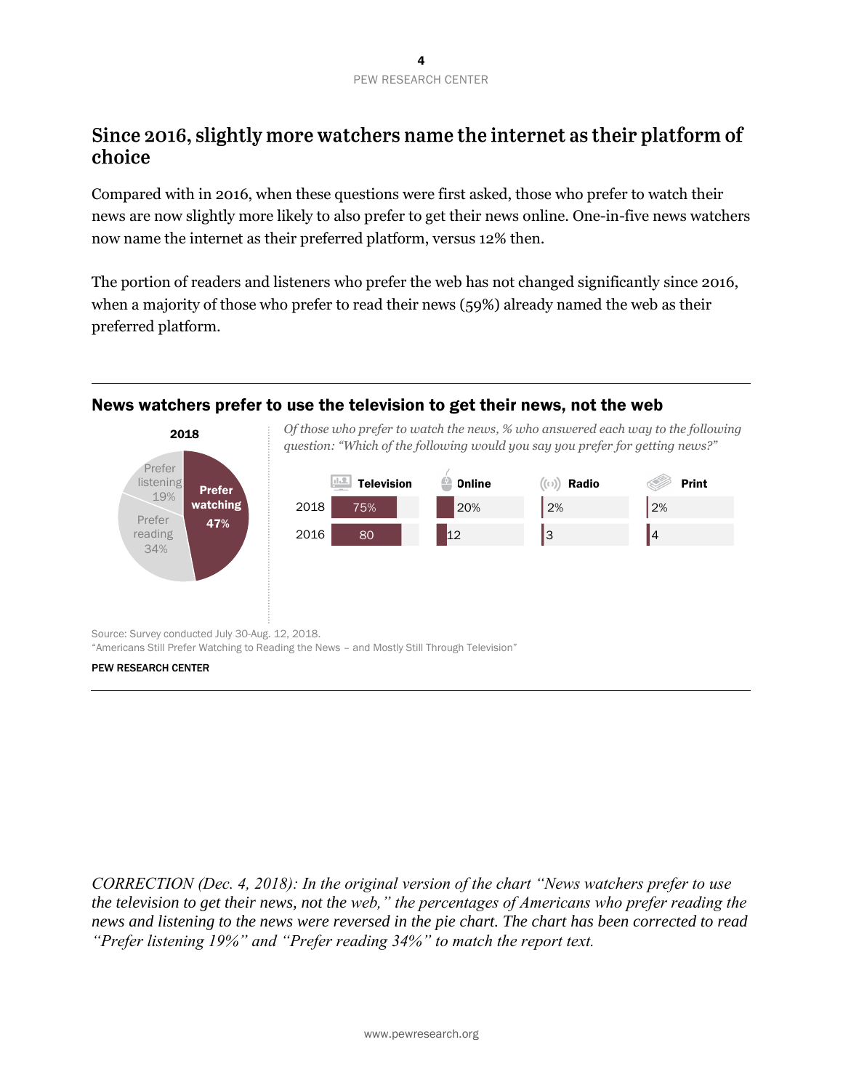# Since 2016, slightly more watchers name the internet as their platform of choice

Compared with in 2016, when these questions were first asked, those who prefer to watch their news are now slightly more likely to also prefer to get their news online. One-in-five news watchers now name the internet as their preferred platform, versus 12% then.

The portion of readers and listeners who prefer the web has not changed significantly since 2016, when a majority of those who prefer to read their news (59%) already named the web as their preferred platform.

# News watchers prefer to use the television to get their news, not the web



"Americans Still Prefer Watching to Reading the News – and Mostly Still Through Television"

#### PEW RESEARCH CENTER

*CORRECTION (Dec. 4, 2018): In the original version of the chart "News watchers prefer to use the television to get their news, not the web," the percentages of Americans who prefer reading the news and listening to the news were reversed in the pie chart. The chart has been corrected to read "Prefer listening 19%" and "Prefer reading 34%" to match the report text.*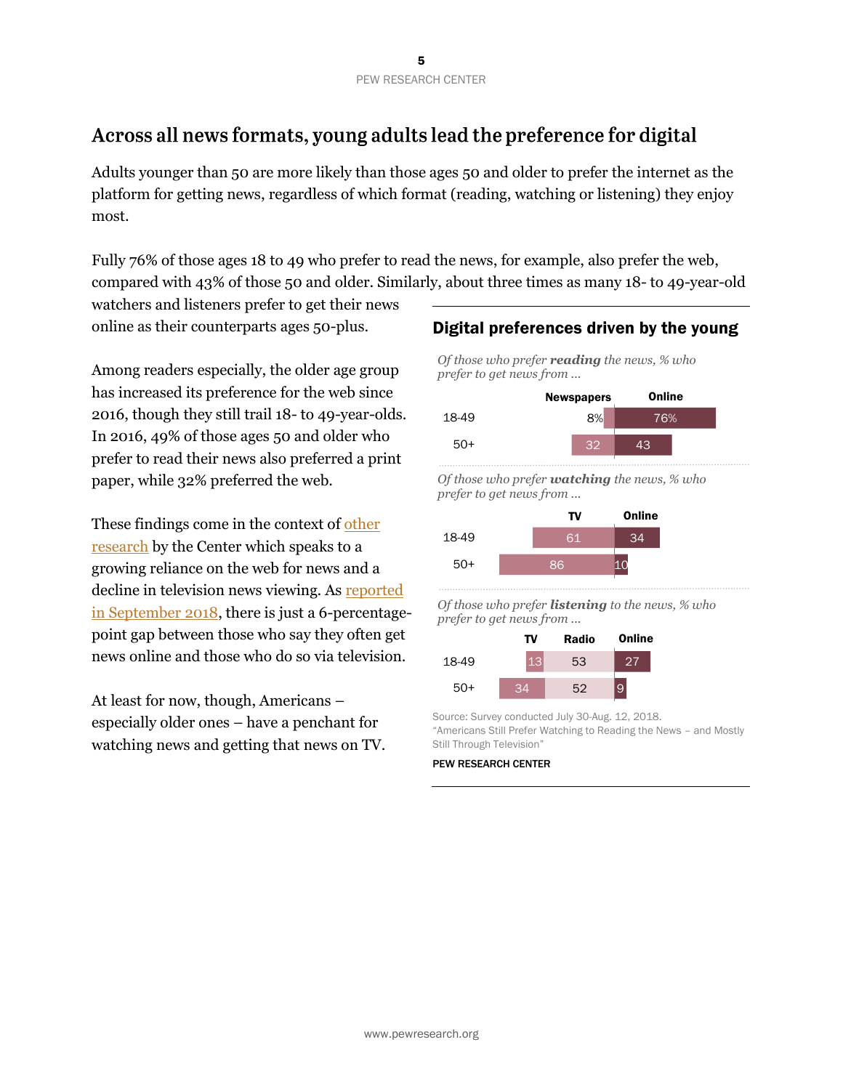# Across all news formats, young adults lead the preference for digital

Adults younger than 50 are more likely than those ages 50 and older to prefer the internet as the platform for getting news, regardless of which format (reading, watching or listening) they enjoy most.

Fully 76% of those ages 18 to 49 who prefer to read the news, for example, also prefer the web, compared with 43% of those 50 and older. Similarly, about three times as many 18- to 49-year-old

watchers and listeners prefer to get their news online as their counterparts ages 50-plus.

Among readers especially, the older age group has increased its preference for the web since 2016, though they still trail 18- to 49-year-olds. In 2016, 49% of those ages 50 and older who prefer to read their news also preferred a print paper, while 32% preferred the web.

These findings come in the context of [other](http://www.pewresearch.org/fact-tank/2017/09/07/americans-online-news-use-vs-tv-news-use/)  [research](http://www.pewresearch.org/fact-tank/2017/09/07/americans-online-news-use-vs-tv-news-use/) by the Center which speaks to a growing reliance on the web for news and a decline in television news viewing. As [reported](http://www.journalism.org/wp-content/uploads/sites/8/2018/09/PJ_2018.09.10_social-media-news_TOPLINE.pdf)  [in September 2018,](http://www.journalism.org/wp-content/uploads/sites/8/2018/09/PJ_2018.09.10_social-media-news_TOPLINE.pdf) there is just a 6-percentagepoint gap between those who say they often get news online and those who do so via television.

At least for now, though, Americans – especially older ones – have a penchant for watching news and getting that news on TV.

# Digital preferences driven by the young

*Of those who prefer reading the news, % who prefer to get news from ...*



*Of those who prefer watching the news, % who prefer to get news from ...*

|       | т٧ | Online |
|-------|----|--------|
| 18-49 | 61 | 84     |
| $50+$ | 86 |        |

*Of those who prefer listening to the news, % who prefer to get news from ...*

|       | TV | <b>Radio</b> | Online |
|-------|----|--------------|--------|
| 18-49 |    | 53           |        |
| 50+   | RЛ | 52           | 9      |

Source: Survey conducted July 30-Aug. 12, 2018. "Americans Still Prefer Watching to Reading the News – and Mostly Still Through Television"

PEW RESEARCH CENTER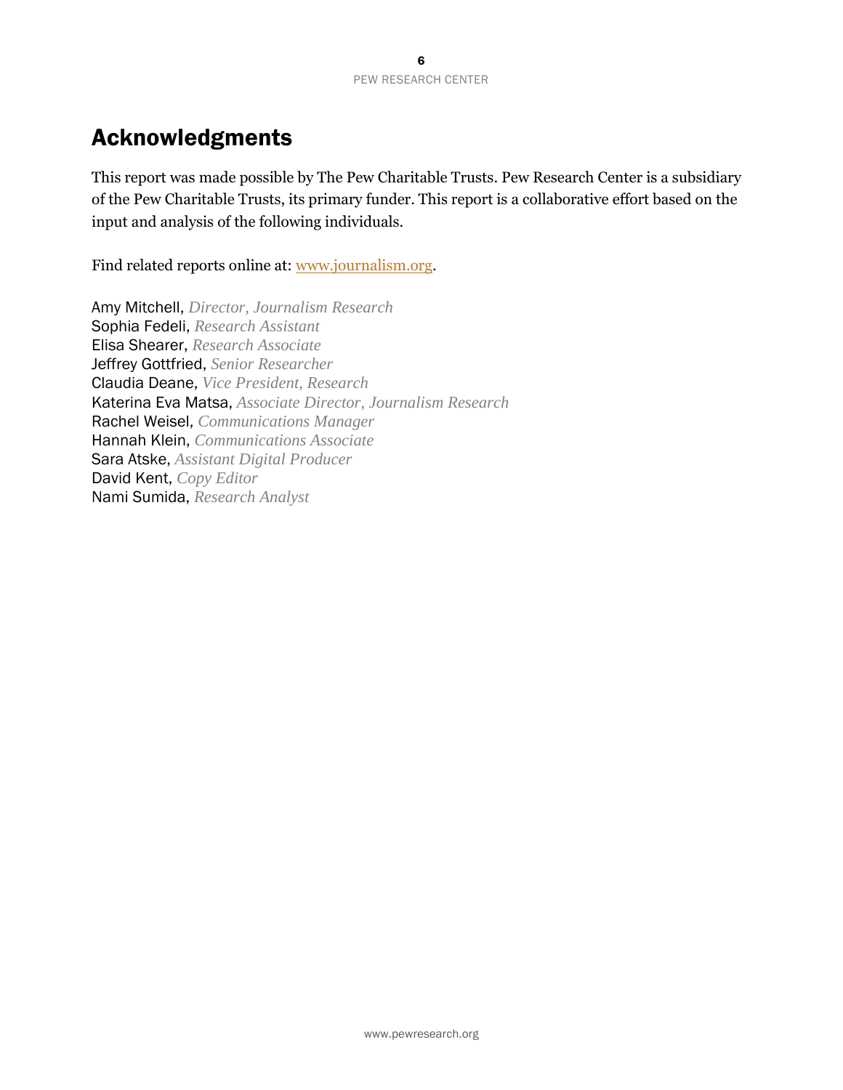# Acknowledgments

This report was made possible by The Pew Charitable Trusts. Pew Research Center is a subsidiary of the Pew Charitable Trusts, its primary funder. This report is a collaborative effort based on the input and analysis of the following individuals.

Find related reports online at: [www.journalism.org.](http://www.journalism.org/)

Amy Mitchell, *Director, Journalism Research* Sophia Fedeli, *Research Assistant* Elisa Shearer, *Research Associate* Jeffrey Gottfried, *Senior Researcher* Claudia Deane, *Vice President, Research* Katerina Eva Matsa, *Associate Director, Journalism Research* Rachel Weisel, *Communications Manager* Hannah Klein, *Communications Associate* Sara Atske, *Assistant Digital Producer* David Kent, *Copy Editor* Nami Sumida, *Research Analyst*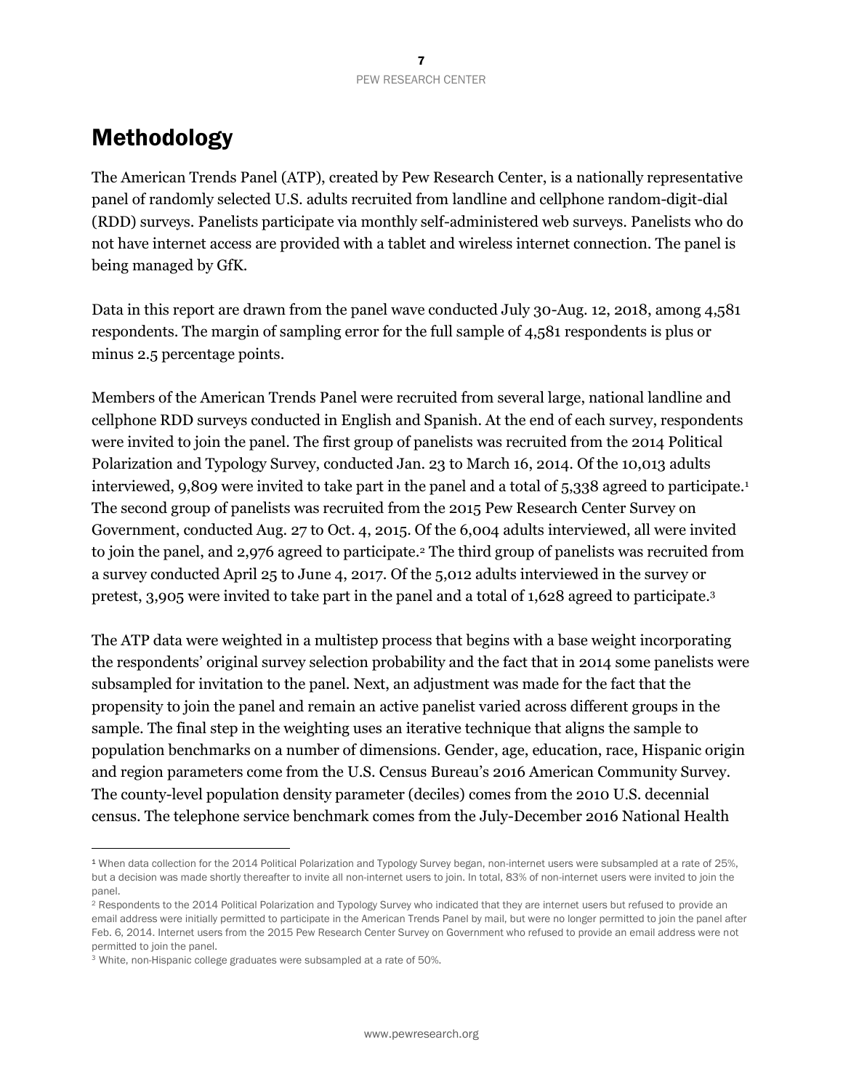# Methodology

The American Trends Panel (ATP), created by Pew Research Center, is a nationally representative panel of randomly selected U.S. adults recruited from landline and cellphone random-digit-dial (RDD) surveys. Panelists participate via monthly self-administered web surveys. Panelists who do not have internet access are provided with a tablet and wireless internet connection. The panel is being managed by GfK.

Data in this report are drawn from the panel wave conducted July 30-Aug. 12, 2018, among 4,581 respondents. The margin of sampling error for the full sample of 4,581 respondents is plus or minus 2.5 percentage points.

Members of the American Trends Panel were recruited from several large, national landline and cellphone RDD surveys conducted in English and Spanish. At the end of each survey, respondents were invited to join the panel. The first group of panelists was recruited from the 2014 Political Polarization and Typology Survey, conducted Jan. 23 to March 16, 2014. Of the 10,013 adults interviewed, 9,809 were invited to take part in the panel and a total of 5,338 agreed to participate.<sup>1</sup> The second group of panelists was recruited from the 2015 Pew Research Center Survey on Government, conducted Aug. 27 to Oct. 4, 2015. Of the 6,004 adults interviewed, all were invited to join the panel, and 2,976 agreed to participate.<sup>2</sup> The third group of panelists was recruited from a survey conducted April 25 to June 4, 2017. Of the 5,012 adults interviewed in the survey or pretest, 3,905 were invited to take part in the panel and a total of 1,628 agreed to participate.<sup>3</sup>

The ATP data were weighted in a multistep process that begins with a base weight incorporating the respondents' original survey selection probability and the fact that in 2014 some panelists were subsampled for invitation to the panel. Next, an adjustment was made for the fact that the propensity to join the panel and remain an active panelist varied across different groups in the sample. The final step in the weighting uses an iterative technique that aligns the sample to population benchmarks on a number of dimensions. Gender, age, education, race, Hispanic origin and region parameters come from the U.S. Census Bureau's 2016 American Community Survey. The county-level population density parameter (deciles) comes from the 2010 U.S. decennial census. The telephone service benchmark comes from the July-December 2016 National Health

 $\overline{a}$ 

<sup>1</sup> When data collection for the 2014 Political Polarization and Typology Survey began, non-internet users were subsampled at a rate of 25%, but a decision was made shortly thereafter to invite all non-internet users to join. In total, 83% of non-internet users were invited to join the panel.

<sup>&</sup>lt;sup>2</sup> Respondents to the 2014 Political Polarization and Typology Survey who indicated that they are internet users but refused to provide an email address were initially permitted to participate in the American Trends Panel by mail, but were no longer permitted to join the panel after Feb. 6, 2014. Internet users from the 2015 Pew Research Center Survey on Government who refused to provide an email address were not permitted to join the panel.

<sup>&</sup>lt;sup>3</sup> White, non-Hispanic college graduates were subsampled at a rate of 50%.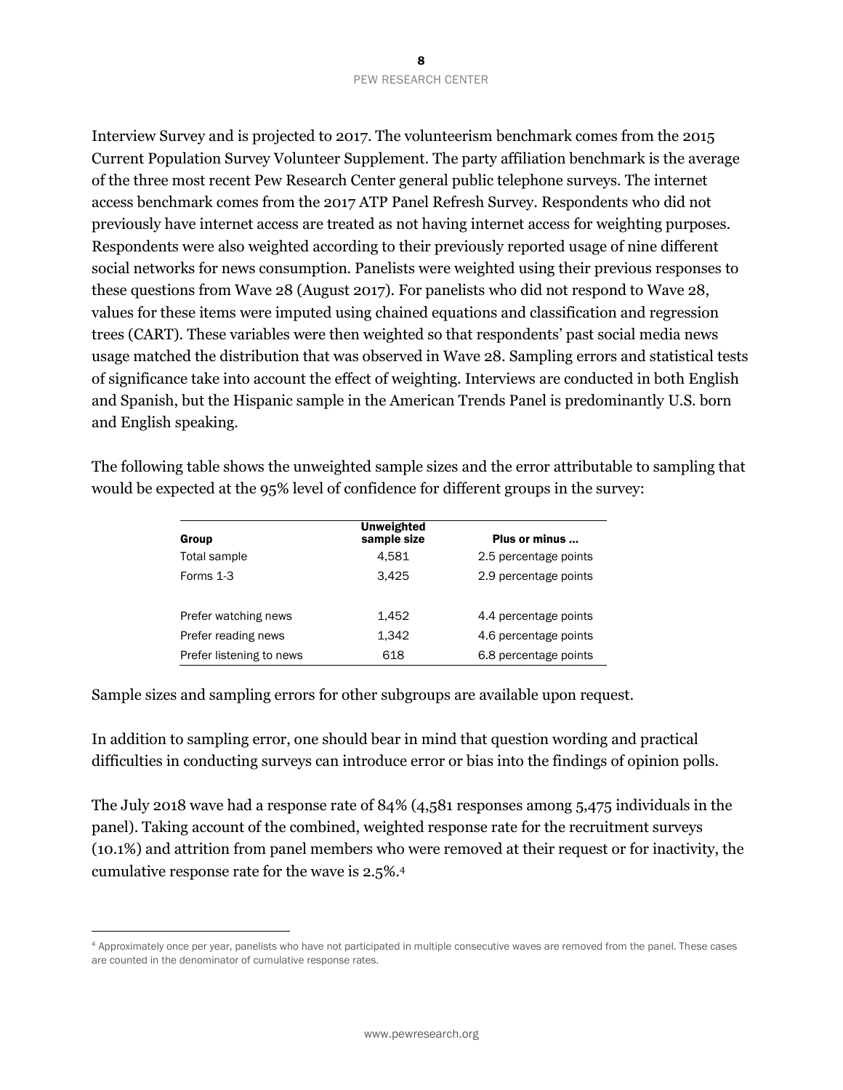Interview Survey and is projected to 2017. The volunteerism benchmark comes from the 2015 Current Population Survey Volunteer Supplement. The party affiliation benchmark is the average of the three most recent Pew Research Center general public telephone surveys. The internet access benchmark comes from the 2017 ATP Panel Refresh Survey. Respondents who did not previously have internet access are treated as not having internet access for weighting purposes. Respondents were also weighted according to their previously reported usage of nine different social networks for news consumption. Panelists were weighted using their previous responses to these questions from Wave 28 (August 2017). For panelists who did not respond to Wave 28, values for these items were imputed using chained equations and classification and regression trees (CART). These variables were then weighted so that respondents' past social media news usage matched the distribution that was observed in Wave 28. Sampling errors and statistical tests of significance take into account the effect of weighting. Interviews are conducted in both English and Spanish, but the Hispanic sample in the American Trends Panel is predominantly U.S. born and English speaking.

| Group                    | <b>Unweighted</b><br>sample size | Plus or minus         |
|--------------------------|----------------------------------|-----------------------|
| Total sample             | 4.581                            | 2.5 percentage points |
| Forms 1-3                | 3.425                            | 2.9 percentage points |
| Prefer watching news     | 1.452                            | 4.4 percentage points |
| Prefer reading news      | 1.342                            | 4.6 percentage points |
| Prefer listening to news | 618                              | 6.8 percentage points |

The following table shows the unweighted sample sizes and the error attributable to sampling that would be expected at the 95% level of confidence for different groups in the survey:

Sample sizes and sampling errors for other subgroups are available upon request.

 $\overline{a}$ 

In addition to sampling error, one should bear in mind that question wording and practical difficulties in conducting surveys can introduce error or bias into the findings of opinion polls.

The July 2018 wave had a response rate of 84% (4,581 responses among 5,475 individuals in the panel). Taking account of the combined, weighted response rate for the recruitment surveys (10.1%) and attrition from panel members who were removed at their request or for inactivity, the cumulative response rate for the wave is 2.5%.<sup>4</sup>

<sup>4</sup> Approximately once per year, panelists who have not participated in multiple consecutive waves are removed from the panel. These cases are counted in the denominator of cumulative response rates.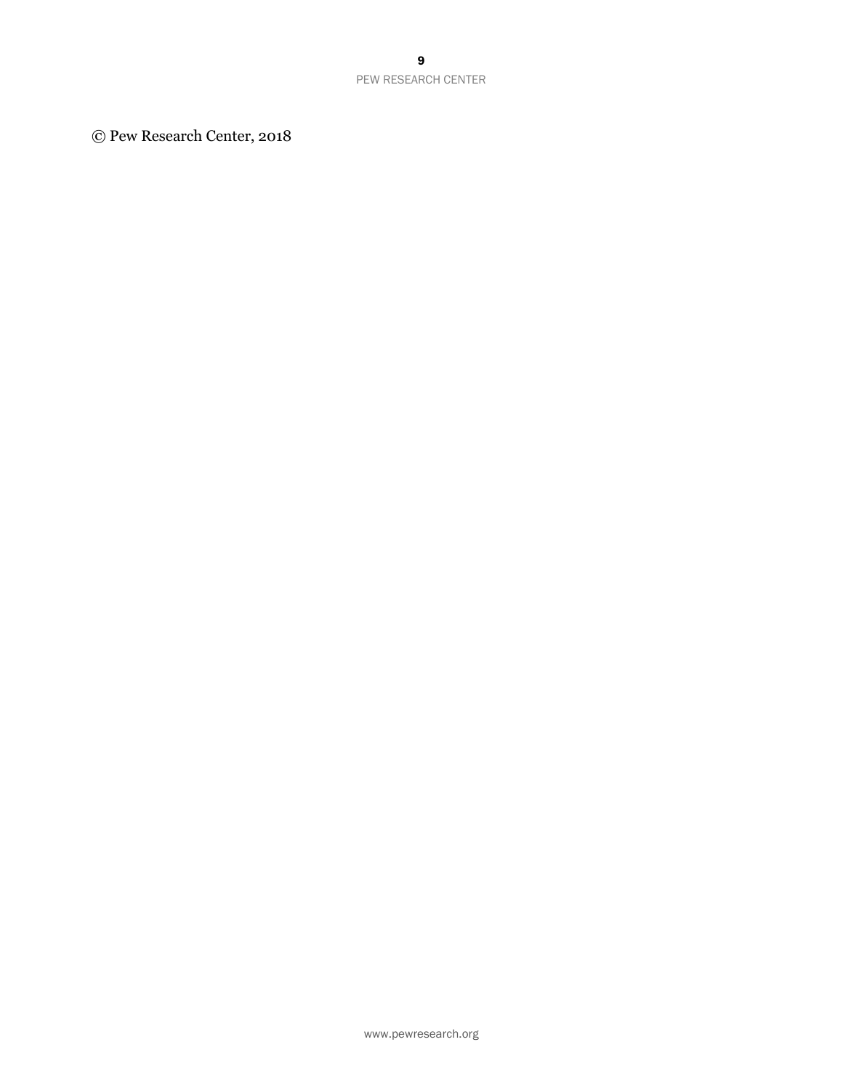© Pew Research Center, 2018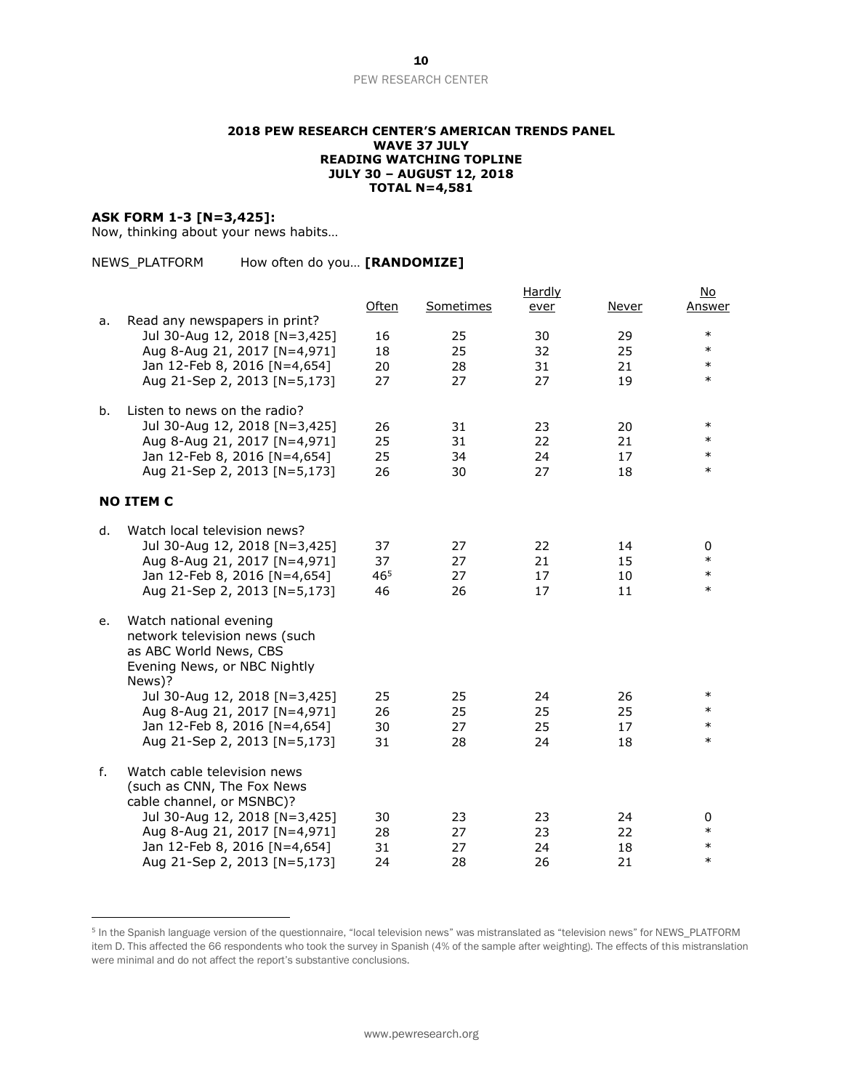#### PEW RESEARCH CENTER

#### **2018 PEW RESEARCH CENTER'S AMERICAN TRENDS PANEL WAVE 37 JULY READING WATCHING TOPLINE JULY 30 – AUGUST 12, 2018 TOTAL N=4,581**

#### **ASK FORM 1-3 [N=3,425]:**

 $\overline{a}$ 

Now, thinking about your news habits…

| NEWS PLATFORM | How often do you [RANDOMIZE] |  |
|---------------|------------------------------|--|
|---------------|------------------------------|--|

| a. | Read any newspapers in print?                                                                                               | Often                 | Sometimes | <b>Hardly</b><br>ever | Never    | <u>No</u><br>Answer |
|----|-----------------------------------------------------------------------------------------------------------------------------|-----------------------|-----------|-----------------------|----------|---------------------|
|    | Jul 30-Aug 12, 2018 [N=3,425]<br>Aug 8-Aug 21, 2017 [N=4,971]                                                               | 16<br>18              | 25<br>25  | 30<br>32              | 29<br>25 | $\ast$<br>$\ast$    |
|    | Jan 12-Feb 8, 2016 [N=4,654]<br>Aug 21-Sep 2, 2013 [N=5,173]                                                                | 20<br>27              | 28<br>27  | 31<br>27              | 21<br>19 | $\ast$<br>$\ast$    |
| b. | Listen to news on the radio?                                                                                                |                       |           |                       |          |                     |
|    | Jul 30-Aug 12, 2018 [N=3,425]                                                                                               | 26                    | 31        | 23                    | 20       | $\ast$<br>$\ast$    |
|    | Aug 8-Aug 21, 2017 [N=4,971]<br>Jan 12-Feb 8, 2016 [N=4,654]                                                                | 25<br>25              | 31<br>34  | 22<br>24              | 21<br>17 | $\ast$              |
|    | Aug 21-Sep 2, 2013 [N=5,173]                                                                                                | 26                    | 30        | 27                    | 18       | $\ast$              |
|    | <b>NO ITEM C</b>                                                                                                            |                       |           |                       |          |                     |
| d. | Watch local television news?                                                                                                |                       |           |                       |          |                     |
|    | Jul 30-Aug 12, 2018 [N=3,425]                                                                                               | 37                    | 27        | 22                    | 14       | 0<br>$\ast$         |
|    | Aug 8-Aug 21, 2017 [N=4,971]<br>Jan 12-Feb 8, 2016 [N=4,654]                                                                | 37<br>46 <sup>5</sup> | 27<br>27  | 21<br>17              | 15<br>10 | $\ast$              |
|    | Aug 21-Sep 2, 2013 [N=5,173]                                                                                                | 46                    | 26        | 17                    | 11       | $\ast$              |
| е. | Watch national evening<br>network television news (such<br>as ABC World News, CBS<br>Evening News, or NBC Nightly<br>News)? |                       |           |                       |          |                     |
|    | Jul 30-Aug 12, 2018 [N=3,425]                                                                                               | 25                    | 25        | 24                    | 26       | $\ast$              |
|    | Aug 8-Aug 21, 2017 [N=4,971]                                                                                                | 26                    | 25        | 25                    | 25       | $\ast$              |
|    | Jan 12-Feb 8, 2016 [N=4,654]<br>Aug 21-Sep 2, 2013 [N=5,173]                                                                | 30<br>31              | 27<br>28  | 25<br>24              | 17<br>18 | $\ast$<br>$\ast$    |
| f. | Watch cable television news<br>(such as CNN, The Fox News<br>cable channel, or MSNBC)?                                      |                       |           |                       |          |                     |
|    | Jul 30-Aug 12, 2018 [N=3,425]                                                                                               | 30                    | 23        | 23                    | 24       | 0                   |
|    | Aug 8-Aug 21, 2017 [N=4,971]                                                                                                | 28                    | 27        | 23                    | 22       | $\ast$              |
|    | Jan 12-Feb 8, 2016 [N=4,654]                                                                                                | 31                    | 27        | 24                    | 18       | $\ast$              |
|    | Aug 21-Sep 2, 2013 [N=5,173]                                                                                                | 24                    | 28        | 26                    | 21       | $\ast$              |

<sup>&</sup>lt;sup>5</sup> In the Spanish language version of the questionnaire, "local television news" was mistranslated as "television news" for NEWS\_PLATFORM item D. This affected the 66 respondents who took the survey in Spanish (4% of the sample after weighting). The effects of this mistranslation were minimal and do not affect the report's substantive conclusions.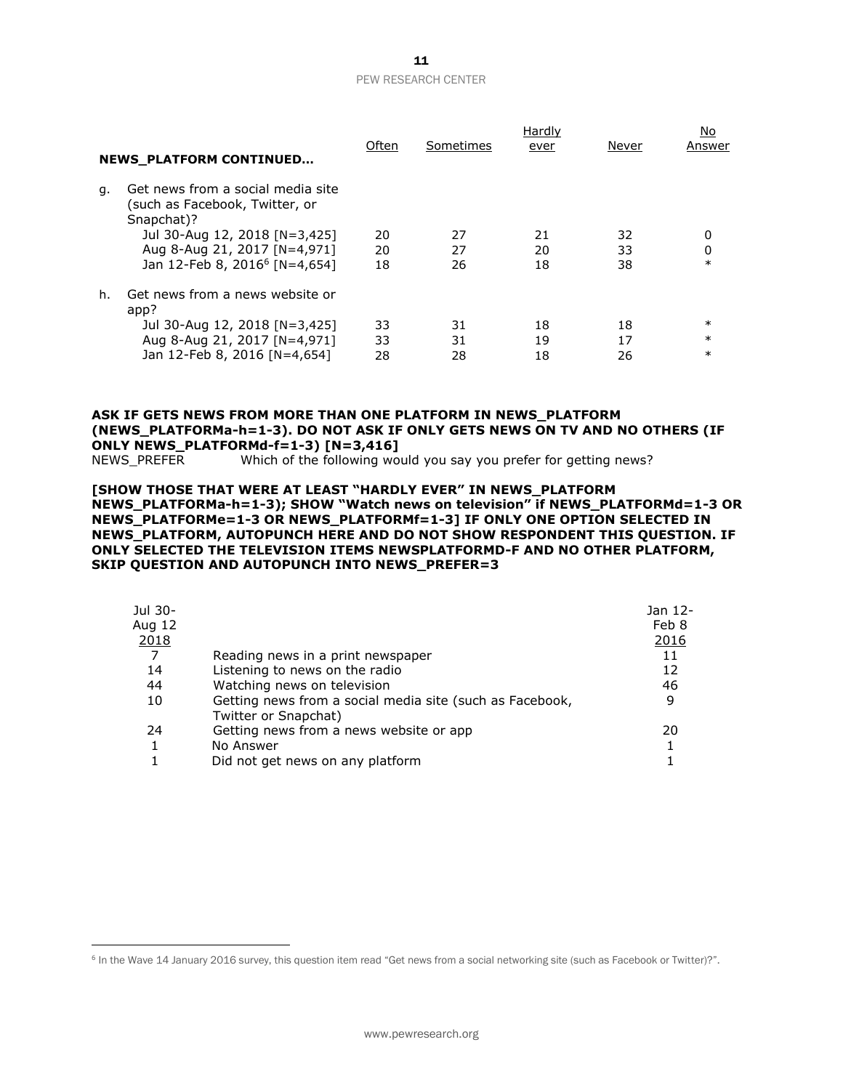## PEW RESEARCH CENTER

|    | <b>NEWS PLATFORM CONTINUED</b>                                                    | Often | Sometimes | Hardly<br>ever | Never | No<br>Answer |
|----|-----------------------------------------------------------------------------------|-------|-----------|----------------|-------|--------------|
| q. | Get news from a social media site<br>such as Facebook, Twitter, or)<br>Snapchat)? |       |           |                |       |              |
|    | Jul 30-Aug 12, 2018 [N=3,425]                                                     | 20    | 27        | 21             | 32    | 0            |
|    | Aug 8-Aug 21, 2017 [N=4,971]                                                      | 20    | 27        | 20             | 33    | 0            |
|    | Jan 12-Feb 8, 2016 <sup>6</sup> [N=4,654]                                         | 18    | 26        | 18             | 38    | $\ast$       |
| h. | Get news from a news website or<br>app?                                           |       |           |                |       |              |
|    | Jul 30-Aug 12, 2018 [N=3,425]                                                     | 33    | 31        | 18             | 18    | $\ast$       |
|    | Aug 8-Aug 21, 2017 [N=4,971]                                                      | 33    | 31        | 19             | 17    | $\ast$       |
|    | Jan 12-Feb 8, 2016 [N=4,654]                                                      | 28    | 28        | 18             | 26    | $\ast$       |

### **ASK IF GETS NEWS FROM MORE THAN ONE PLATFORM IN NEWS\_PLATFORM (NEWS\_PLATFORMa-h=1-3). DO NOT ASK IF ONLY GETS NEWS ON TV AND NO OTHERS (IF ONLY NEWS\_PLATFORMd-f=1-3) [N=3,416]**

NEWS\_PREFER Which of the following would you say you prefer for getting news?

#### **[SHOW THOSE THAT WERE AT LEAST "HARDLY EVER" IN NEWS\_PLATFORM NEWS\_PLATFORMa-h=1-3); SHOW "Watch news on television" if NEWS\_PLATFORMd=1-3 OR NEWS\_PLATFORMe=1-3 OR NEWS\_PLATFORMf=1-3] IF ONLY ONE OPTION SELECTED IN NEWS\_PLATFORM, AUTOPUNCH HERE AND DO NOT SHOW RESPONDENT THIS QUESTION. IF ONLY SELECTED THE TELEVISION ITEMS NEWSPLATFORMD-F AND NO OTHER PLATFORM, SKIP QUESTION AND AUTOPUNCH INTO NEWS\_PREFER=3**

| Jul 30- |                                                                                  | Jan 12-     |
|---------|----------------------------------------------------------------------------------|-------------|
| Aug 12  |                                                                                  | Feb 8       |
| 2018    |                                                                                  | <u>2016</u> |
| 7       | Reading news in a print newspaper                                                | 11          |
| 14      | Listening to news on the radio                                                   | 12          |
| 44      | Watching news on television                                                      | 46          |
| 10      | Getting news from a social media site (such as Facebook,<br>Twitter or Snapchat) | 9           |
| 24      | Getting news from a news website or app                                          | 20          |
|         | No Answer                                                                        |             |
|         | Did not get news on any platform                                                 |             |
|         |                                                                                  |             |

 $\overline{a}$ 

<sup>&</sup>lt;sup>6</sup> In the Wave 14 January 2016 survey, this question item read "Get news from a social networking site (such as Facebook or Twitter)?".